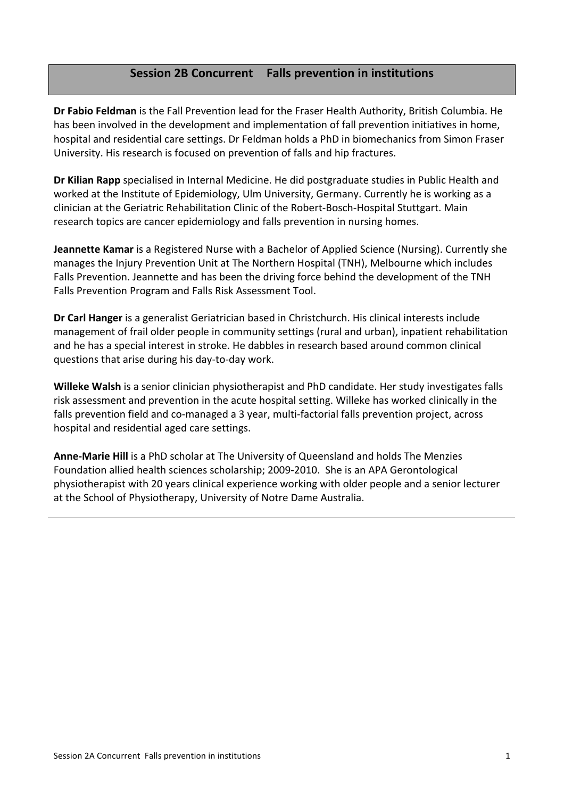# **Session'2B'Concurrent Falls'prevention'in'institutions**

Dr Fabio Feldman is the Fall Prevention lead for the Fraser Health Authority, British Columbia. He has been involved in the development and implementation of fall prevention initiatives in home, hospital and residential care settings. Dr Feldman holds a PhD in biomechanics from Simon Fraser University. His research is focused on prevention of falls and hip fractures.

Dr Kilian Rapp specialised in Internal Medicine. He did postgraduate studies in Public Health and worked at the Institute of Epidemiology, Ulm University, Germany. Currently he is working as a clinician at the Geriatric Rehabilitation Clinic of the Robert-Bosch-Hospital Stuttgart. Main research topics are cancer epidemiology and falls prevention in nursing homes.

**Jeannette Kamar** is a Registered Nurse with a Bachelor of Applied Science (Nursing). Currently she manages the Injury Prevention Unit at The Northern Hospital (TNH), Melbourne which includes Falls Prevention. Jeannette and has been the driving force behind the development of the TNH Falls Prevention Program and Falls Risk Assessment Tool.

**Dr Carl Hanger** is a generalist Geriatrician based in Christchurch. His clinical interests include management of frail older people in community settings (rural and urban), inpatient rehabilitation and he has a special interest in stroke. He dabbles in research based around common clinical questions that arise during his day-to-day work.

Willeke Walsh is a senior clinician physiotherapist and PhD candidate. Her study investigates falls risk assessment and prevention in the acute hospital setting. Willeke has worked clinically in the falls prevention field and co-managed a 3 year, multi-factorial falls prevention project, across hospital and residential aged care settings.

**Anne-Marie Hill** is a PhD scholar at The University of Queensland and holds The Menzies Foundation allied health sciences scholarship; 2009-2010. She is an APA Gerontological physiotherapist with 20 years clinical experience working with older people and a senior lecturer at the School of Physiotherapy, University of Notre Dame Australia.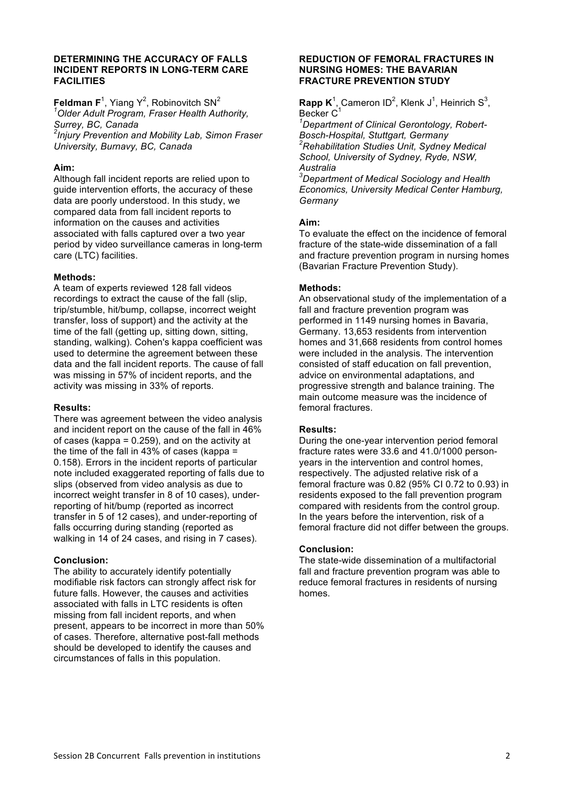## **DETERMINING THE ACCURACY OF FALLS INCIDENT REPORTS IN LONG-TERM CARE FACILITIES**

**Feldman F**<sup>1</sup>, Yiang Y<sup>2</sup>, Robinovitch SN<sup>2</sup> *1 Older Adult Program, Fraser Health Authority, Surrey, BC, Canada 2 Injury Prevention and Mobility Lab, Simon Fraser* 

*University, Burnavy, BC, Canada*

# **Aim:**

Although fall incident reports are relied upon to guide intervention efforts, the accuracy of these data are poorly understood. In this study, we compared data from fall incident reports to information on the causes and activities associated with falls captured over a two year period by video surveillance cameras in long-term care (LTC) facilities.

# **Methods:**

A team of experts reviewed 128 fall videos recordings to extract the cause of the fall (slip, trip/stumble, hit/bump, collapse, incorrect weight transfer, loss of support) and the activity at the time of the fall (getting up, sitting down, sitting, standing, walking). Cohen's kappa coefficient was used to determine the agreement between these data and the fall incident reports. The cause of fall was missing in 57% of incident reports, and the activity was missing in 33% of reports.

# **Results:**

There was agreement between the video analysis and incident report on the cause of the fall in 46% of cases (kappa = 0.259), and on the activity at the time of the fall in 43% of cases (kappa = 0.158). Errors in the incident reports of particular note included exaggerated reporting of falls due to slips (observed from video analysis as due to incorrect weight transfer in 8 of 10 cases), underreporting of hit/bump (reported as incorrect transfer in 5 of 12 cases), and under-reporting of falls occurring during standing (reported as walking in 14 of 24 cases, and rising in 7 cases).

# **Conclusion:**

The ability to accurately identify potentially modifiable risk factors can strongly affect risk for future falls. However, the causes and activities associated with falls in LTC residents is often missing from fall incident reports, and when present, appears to be incorrect in more than 50% of cases. Therefore, alternative post-fall methods should be developed to identify the causes and circumstances of falls in this population.

## **REDUCTION OF FEMORAL FRACTURES IN NURSING HOMES: THE BAVARIAN FRACTURE PREVENTION STUDY**

**Rapp K**<sup>1</sup>, Cameron ID<sup>2</sup>, Klenk J<sup>1</sup>, Heinrich S<sup>3</sup>, Becker C<sup>1</sup>

*1 Department of Clinical Gerontology, Robert-Bosch-Hospital, Stuttgart, Germany <sup>2</sup> Rehabilitation Studies Unit, Sydney Medical School, University of Sydney, Ryde, NSW, Australia*

*3 Department of Medical Sociology and Health Economics, University Medical Center Hamburg, Germany*

# **Aim:**

To evaluate the effect on the incidence of femoral fracture of the state-wide dissemination of a fall and fracture prevention program in nursing homes (Bavarian Fracture Prevention Study).

# **Methods:**

An observational study of the implementation of a fall and fracture prevention program was performed in 1149 nursing homes in Bavaria, Germany. 13,653 residents from intervention homes and 31,668 residents from control homes were included in the analysis. The intervention consisted of staff education on fall prevention, advice on environmental adaptations, and progressive strength and balance training. The main outcome measure was the incidence of femoral fractures.

# **Results:**

During the one-year intervention period femoral fracture rates were 33.6 and 41.0/1000 personyears in the intervention and control homes, respectively. The adjusted relative risk of a femoral fracture was 0.82 (95% CI 0.72 to 0.93) in residents exposed to the fall prevention program compared with residents from the control group. In the years before the intervention, risk of a femoral fracture did not differ between the groups.

# **Conclusion:**

The state-wide dissemination of a multifactorial fall and fracture prevention program was able to reduce femoral fractures in residents of nursing homes.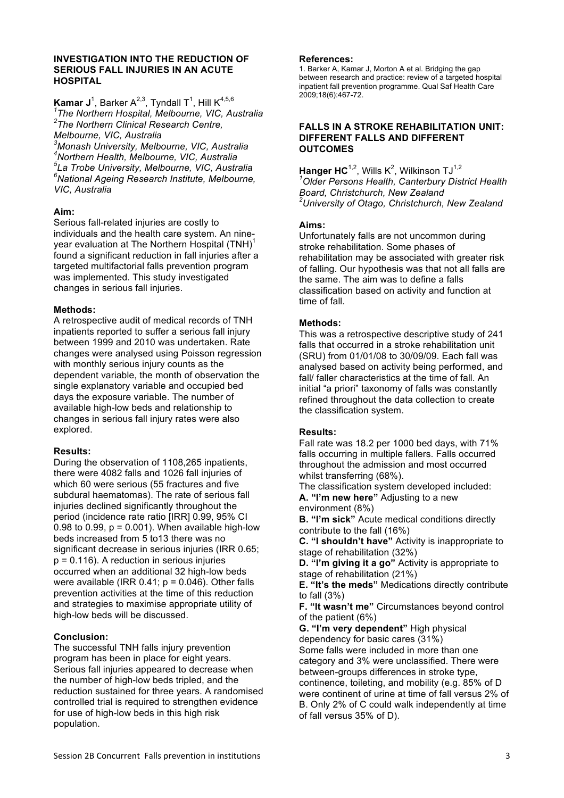#### **INVESTIGATION INTO THE REDUCTION OF SERIOUS FALL INJURIES IN AN ACUTE HOSPITAL**

 $\mathsf{Kamar}\, \mathsf{J}^1$ , Barker A<sup>2,3</sup>, Tyndall T<sup>1</sup>, Hill  $\mathsf{K}^{4,5,6}$ *1 The Northern Hospital, Melbourne, VIC, Australia 2 The Northern Clinical Research Centre, Melbourne, VIC, Australia*

 *Monash University, Melbourne, VIC, Australia Northern Health, Melbourne, VIC, Australia La Trobe University, Melbourne, VIC, Australia National Ageing Research Institute, Melbourne, VIC, Australia*

# **Aim:**

Serious fall-related injuries are costly to individuals and the health care system. An nineyear evaluation at The Northern Hospital (TNH)<sup>1</sup> found a significant reduction in fall injuries after a targeted multifactorial falls prevention program was implemented. This study investigated changes in serious fall injuries.

# **Methods:**

A retrospective audit of medical records of TNH inpatients reported to suffer a serious fall injury between 1999 and 2010 was undertaken. Rate changes were analysed using Poisson regression with monthly serious injury counts as the dependent variable, the month of observation the single explanatory variable and occupied bed days the exposure variable. The number of available high-low beds and relationship to changes in serious fall injury rates were also explored.

# **Results:**

During the observation of 1108,265 inpatients, there were 4082 falls and 1026 fall injuries of which 60 were serious (55 fractures and five subdural haematomas). The rate of serious fall injuries declined significantly throughout the period (incidence rate ratio [IRR] 0.99, 95% CI 0.98 to 0.99,  $p = 0.001$ ). When available high-low beds increased from 5 to13 there was no significant decrease in serious injuries (IRR 0.65; p = 0.116). A reduction in serious injuries occurred when an additional 32 high-low beds were available (IRR  $0.41$ ;  $p = 0.046$ ). Other falls prevention activities at the time of this reduction and strategies to maximise appropriate utility of high-low beds will be discussed.

# **Conclusion:**

The successful TNH falls injury prevention program has been in place for eight years. Serious fall injuries appeared to decrease when the number of high-low beds tripled, and the reduction sustained for three years. A randomised controlled trial is required to strengthen evidence for use of high-low beds in this high risk population.

# **References:**

1. Barker A, Kamar J, Morton A et al. Bridging the gap between research and practice: review of a targeted hospital inpatient fall prevention programme. Qual Saf Health Care 2009;18(6):467-72.

## **FALLS IN A STROKE REHABILITATION UNIT: DIFFERENT FALLS AND DIFFERENT OUTCOMES**

**Hanger HC**<sup>1,2</sup>, Wills K<sup>2</sup>, Wilkinson TJ<sup>1,2</sup> *1 Older Persons Health, Canterbury District Health Board, Christchurch, New Zealand 2 University of Otago, Christchurch, New Zealand*

# **Aims:**

Unfortunately falls are not uncommon during stroke rehabilitation. Some phases of rehabilitation may be associated with greater risk of falling. Our hypothesis was that not all falls are the same. The aim was to define a falls classification based on activity and function at time of fall.

# **Methods:**

This was a retrospective descriptive study of 241 falls that occurred in a stroke rehabilitation unit (SRU) from 01/01/08 to 30/09/09. Each fall was analysed based on activity being performed, and fall/ faller characteristics at the time of fall. An initial "a priori" taxonomy of falls was constantly refined throughout the data collection to create the classification system.

# **Results:**

Fall rate was 18.2 per 1000 bed days, with 71% falls occurring in multiple fallers. Falls occurred throughout the admission and most occurred whilst transferring (68%).

The classification system developed included: **A. "I'm new here"** Adjusting to a new environment (8%)

**B. "I'm sick"** Acute medical conditions directly contribute to the fall (16%)

**C. "I shouldn't have"** Activity is inappropriate to stage of rehabilitation (32%)

**D. "I'm giving it a go"** Activity is appropriate to stage of rehabilitation (21%)

**E. "It's the meds"** Medications directly contribute to fall (3%)

**F. "It wasn't me"** Circumstances beyond control of the patient (6%)

**G. "I'm very dependent"** High physical dependency for basic cares (31%) Some falls were included in more than one category and 3% were unclassified. There were between-groups differences in stroke type, continence, toileting, and mobility (e.g. 85% of D were continent of urine at time of fall versus 2% of B. Only 2% of C could walk independently at time of fall versus 35% of D).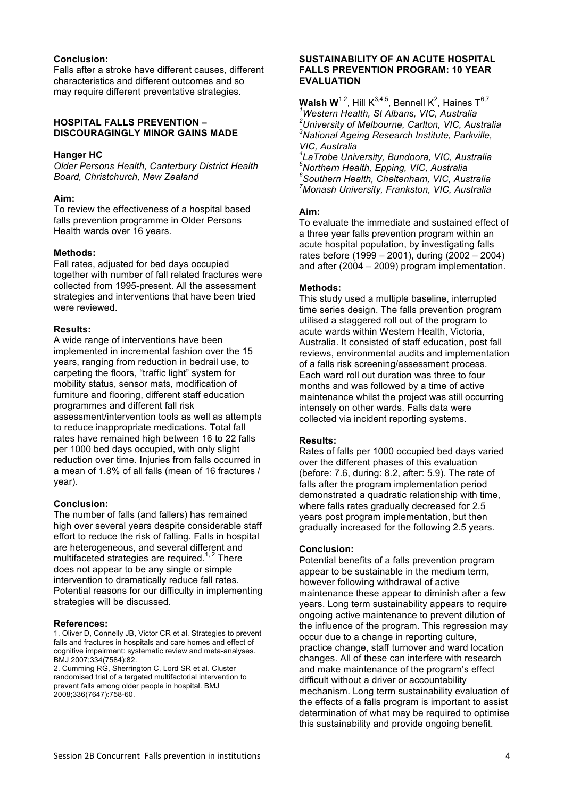## **Conclusion:**

Falls after a stroke have different causes, different characteristics and different outcomes and so may require different preventative strategies.

#### **HOSPITAL FALLS PREVENTION – DISCOURAGINGLY MINOR GAINS MADE**

#### **Hanger HC**

*Older Persons Health, Canterbury District Health Board, Christchurch, New Zealand*

#### **Aim:**

To review the effectiveness of a hospital based falls prevention programme in Older Persons Health wards over 16 years.

#### **Methods:**

Fall rates, adjusted for bed days occupied together with number of fall related fractures were collected from 1995-present. All the assessment strategies and interventions that have been tried were reviewed.

#### **Results:**

A wide range of interventions have been implemented in incremental fashion over the 15 years, ranging from reduction in bedrail use, to carpeting the floors, "traffic light" system for mobility status, sensor mats, modification of furniture and flooring, different staff education programmes and different fall risk assessment/intervention tools as well as attempts to reduce inappropriate medications. Total fall rates have remained high between 16 to 22 falls per 1000 bed days occupied, with only slight reduction over time. Injuries from falls occurred in a mean of 1.8% of all falls (mean of 16 fractures / year).

### **Conclusion:**

The number of falls (and fallers) has remained high over several years despite considerable staff effort to reduce the risk of falling. Falls in hospital are heterogeneous, and several different and multifaceted strategies are required.<sup>1, 2</sup> There does not appear to be any single or simple intervention to dramatically reduce fall rates. Potential reasons for our difficulty in implementing strategies will be discussed.

#### **References:**

1. Oliver D, Connelly JB, Victor CR et al. Strategies to prevent falls and fractures in hospitals and care homes and effect of cognitive impairment: systematic review and meta-analyses. BMJ 2007;334(7584):82.

2. Cumming RG, Sherrington C, Lord SR et al. Cluster randomised trial of a targeted multifactorial intervention to prevent falls among older people in hospital. BMJ 2008;336(7647):758-60.

#### **SUSTAINABILITY OF AN ACUTE HOSPITAL FALLS PREVENTION PROGRAM: 10 YEAR EVALUATION**

**Walsh W**<sup>1,2</sup>, Hill K<sup>3,4,5</sup>, Bennell K<sup>2</sup>, Haines T<sup>6,7</sup> *1 Western Health, St Albans, VIC, Australia 2 University of Melbourne, Carlton, VIC, Australia 3 National Ageing Research Institute, Parkville, VIC, Australia*

 *LaTrobe University, Bundoora, VIC, Australia Northern Health, Epping, VIC, Australia Southern Health, Cheltenham, VIC, Australia Monash University, Frankston, VIC, Australia*

#### **Aim:**

To evaluate the immediate and sustained effect of a three year falls prevention program within an acute hospital population, by investigating falls rates before (1999 – 2001), during (2002 – 2004) and after (2004 – 2009) program implementation.

#### **Methods:**

This study used a multiple baseline, interrupted time series design. The falls prevention program utilised a staggered roll out of the program to acute wards within Western Health, Victoria, Australia. It consisted of staff education, post fall reviews, environmental audits and implementation of a falls risk screening/assessment process. Each ward roll out duration was three to four months and was followed by a time of active maintenance whilst the project was still occurring intensely on other wards. Falls data were collected via incident reporting systems.

#### **Results:**

Rates of falls per 1000 occupied bed days varied over the different phases of this evaluation (before: 7.6, during: 8.2, after: 5.9). The rate of falls after the program implementation period demonstrated a quadratic relationship with time, where falls rates gradually decreased for 2.5 years post program implementation, but then gradually increased for the following 2.5 years.

#### **Conclusion:**

Potential benefits of a falls prevention program appear to be sustainable in the medium term, however following withdrawal of active maintenance these appear to diminish after a few years. Long term sustainability appears to require ongoing active maintenance to prevent dilution of the influence of the program. This regression may occur due to a change in reporting culture, practice change, staff turnover and ward location changes. All of these can interfere with research and make maintenance of the program's effect difficult without a driver or accountability mechanism. Long term sustainability evaluation of the effects of a falls program is important to assist determination of what may be required to optimise this sustainability and provide ongoing benefit.